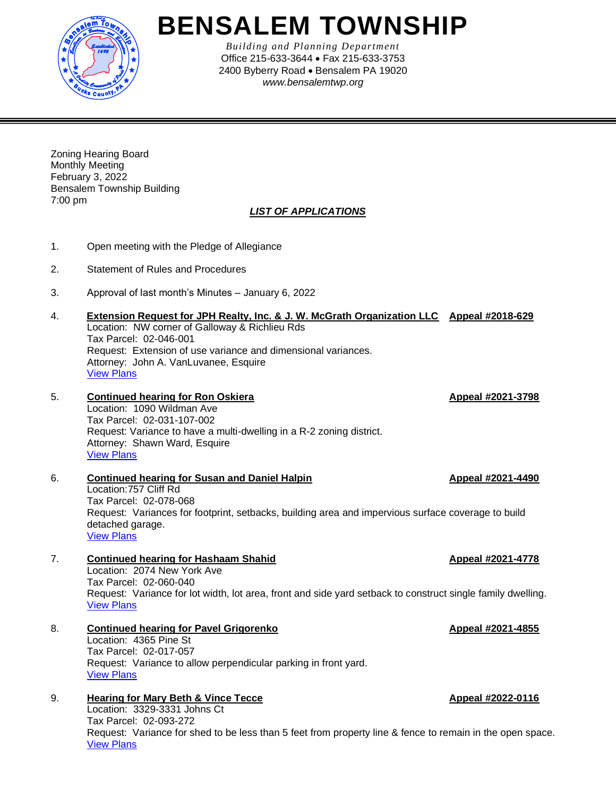

# **BENSALEM TOWNSHIP**

*Building and Planning Department* Office 215-633-3644 • Fax 215-633-3753 2400 Byberry Road • Bensalem PA 19020 *www.bensalemtwp.org* 

Zoning Hearing Board Monthly Meeting February 3, 2022 Bensalem Township Building 7:00 pm

## *LIST OF APPLICATIONS*

- 1. Open meeting with the Pledge of Allegiance
- 2. Statement of Rules and Procedures
- 3. Approval of last month's Minutes January 6, 2022
- 4. **Extension Request for JPH Realty, Inc. & J. W. McGrath Organization LLC Appeal #2018-629** Location: NW corner of Galloway & Richlieu Rds Tax Parcel: 02-046-001 Request: Extension of use variance and dimensional variances. Attorney: John A. VanLuvanee, Esquire [View Plans](https://www.bensalempa.gov/uploads/2/4/9/3/24936441/galloway___richlieu_rd___-_zhb_extension__2nd_request_.pdf)

# 5. **Continued hearing for Ron Oskiera Appeal #2021-3798**

Location: 1090 Wildman Ave Tax Parcel: 02-031-107-002 Request: Variance to have a multi-dwelling in a R-2 zoning district. Attorney: Shawn Ward, Esquire [View Plans](https://www.bensalempa.gov/uploads/2/4/9/3/24936441/wildman_ave_1090_-_zhb_appeal.pdf)

6. **Continued hearing for Susan and Daniel Halpin Appeal #2021-4490** Location:757 Cliff Rd Tax Parcel: 02-078-068 Request: Variances for footprint, setbacks, building area and impervious surface coverage to build detached garage. [View Plans](https://www.bensalempa.gov/uploads/2/4/9/3/24936441/cliff_rd_757_-_zhb_appeal.pdf)

# 7. **Continued hearing for Hashaam Shahid Appeal #2021-4778**

Location: 2074 New York Ave Tax Parcel: 02-060-040 Request: Variance for lot width, lot area, front and side yard setback to construct single family dwelling. [View Plans](https://www.bensalempa.gov/uploads/2/4/9/3/24936441/new_york_ave_2074_-_zhb_appeal.pdf)

8. **Continued hearing for Pavel Grigorenko Appeal #2021-4855** Location: 4365 Pine St Tax Parcel: 02-017-057 Request: Variance to allow perpendicular parking in front yard. [View Plans](https://www.bensalempa.gov/uploads/2/4/9/3/24936441/pine_st_4365_-_zhb_appeal.pdf)

# 9. **Hearing for Mary Beth & Vince Tecce Appeal #2022-0116**

Location: 3329-3331 Johns Ct Tax Parcel: 02-093-272 Request: Variance for shed to be less than 5 feet from property line & fence to remain in the open space. [View Plans](https://www.bensalempa.gov/uploads/2/4/9/3/24936441/johns_ct_3329-3331_-_zhb_appeal.pdf)